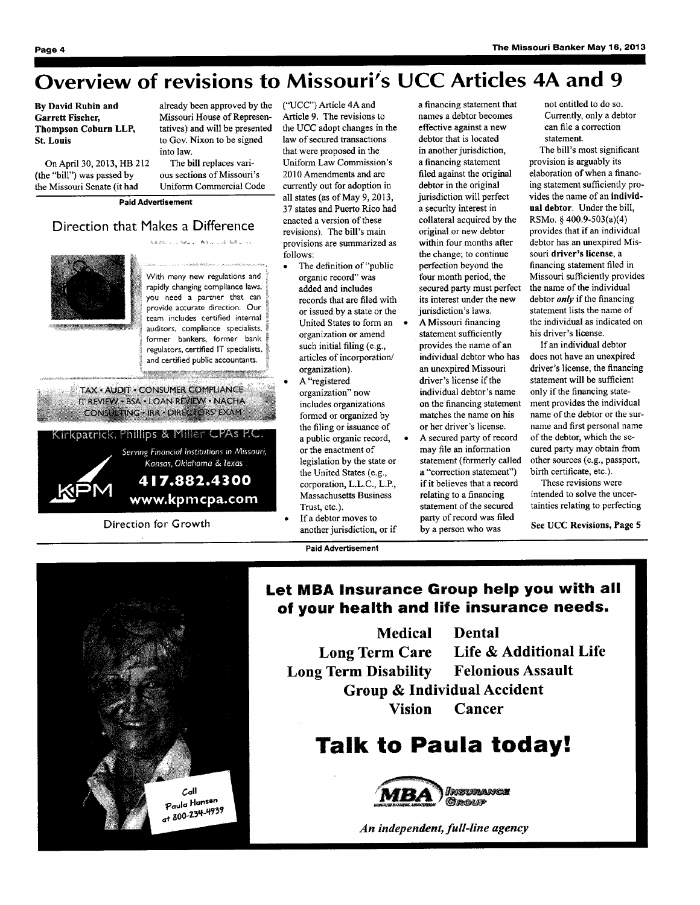# Overview of revisions to Missouri's UCC Articles 4A and 9

#### By David Rubin and Garrett Fischer, Thompson Coburn LLP, St. Louis

On April 30, 2013, HB 212 (the "bill") was passed by the Missouri Senate (it had

already been approved by the ("UCC") Article 4A and Missouri House of Representatives) and will be presented to Gov. Nixon to be signed into law.

The bill replaces various sections of Missouri's Uniform Commercial Code

Paid Advertisement

### Direction that Makes a Difference



with many new regulations and rapidly changing compliance laws, you need a partner that can provide accurate direction. Our team includes certified internal auditors, compliance specialists. former bankers, former bank regulators, certified IT specialists. and certified public accountants

.<br>Nazional Marco William Walles

TAX · AUDIT · CONSUMER COMPLIANCE IT REVIEW . BSA . LOAN REVIEW . NACHA CONSULTING . IRR . DIRECTORS' EXAM

### Kirkpatrick, Phillips & Miller CPAs P.C.

Serving Financial Institutions in Missouri, Kansas, Oklahoma & Texas 417.882.4300

M www.kpmcpa.com

Direction for Growth

- Article 9. The revisions to the UCC adopt changes in the law of secured transactions that were proposed in the Uniform Law Commission's 2010 Amendments and are currently out for adoption in all states (as of May 9, 2013, 37 states and Puerto Rico had enacted a version of these revisions). The bill's main provisions are summarized as follows:
- The definition of "public organic record" was added and includes records that are filed with or issued by a state or the United States to form an  $\bullet$ organization or amend such initial filing (e.g., articles of incorporation/ organization).
- A "registered organization" now includes organizations formed or organized by the filing or issuance of a public organic record, or the enactment of legislation by the state or the United States (e.g., corporation, L.L.C., L.P., Massachusetts Business Trust, etc.).
- If a debtor moves to another jurisdiction, or if

Paid Advertisement

a financing statement that names a debtor becomes effective against a new debtor that is located in another jurisdiction, a financing statement filed against the original debtor in the original jurisdiction will perfect a security interest in collateral acquired by the original or new debtor within four months after the change; to continue perfection beyond the four month period, the secured party must perfect its interest under the new jurisdiction's laws. A Missouri financing statement sufficiently provides the name of an individual debtor who has an unexpired Missouri driver's license if the

or her driver's license. A secured party of record may file an information statement (formerly called a "correction statement") if it believes that a record relating to a financing statement of the secured party of record was filed by a person who was

individual debtor's name on the financing statement matches the name on his

not entitled to do so. Currently, only a debtor can file a correction statement.

The bill's most significant provision is arguably its elaboration of when a financing statement sufficiently provides the name of an individual debtor. Under the bill, RSMo. § 400.9-503(a)(4) provides that if an individual debtor has an unexpired Missouri driver's license, a financing statement filed in Missouri sufficiently provides the name of the individual debtor *only* if the financing statement lists the name of the individual as indicated on his driver's license.

If an individual debtor does not have an unexpired driver's license, the financing statement will be sufficient only if the financing statement provides the individual name of the debtor or the surname and first personal name of the debtor, which the secured party may obtain from other sources (e.g., passport, birth certificate, etc.).

These revisions were intended to solve the uncertainties relating to perfecting

See UCC Revisions, Page 5



### Let MBA Insurance Group help you with all of your health and life insurance needs.

Medical Dental Long Term Care Life & Additional Life Long Term Disability Felonious Assault Group & Individual Accident Vision Cancer

## Talk to Paula today!